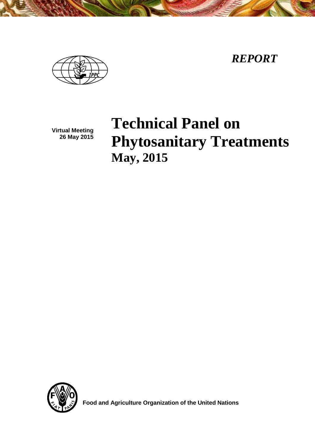*REPORT*



**Virtual Meeting 26 May 2015**

# **Technical Panel on Phytosanitary Treatments May, 2015**



 **Food and Agriculture Organization of the United Nations**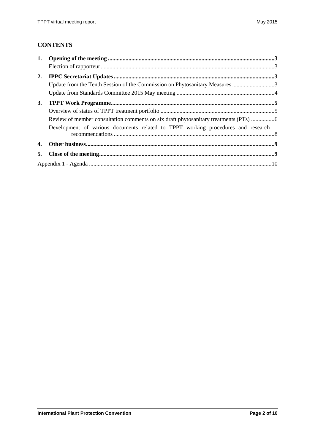# **CONTENTS**

| 1. |                                                                                  |  |
|----|----------------------------------------------------------------------------------|--|
|    |                                                                                  |  |
| 2. |                                                                                  |  |
|    |                                                                                  |  |
|    |                                                                                  |  |
| 3. |                                                                                  |  |
|    |                                                                                  |  |
|    |                                                                                  |  |
|    | Development of various documents related to TPPT working procedures and research |  |
| 4. |                                                                                  |  |
| 5. |                                                                                  |  |
|    |                                                                                  |  |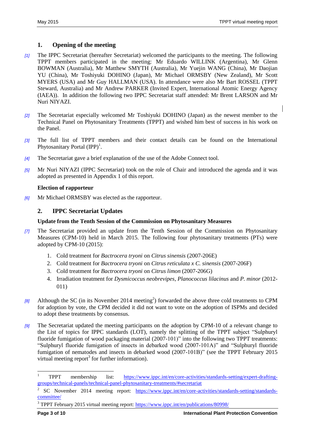# <span id="page-2-0"></span>**1. Opening of the meeting**

- *[1]* The IPPC Secretariat (hereafter Secretariat) welcomed the participants to the meeting. The following TPPT members participated in the meeting: Mr Eduardo WILLINK (Argentina), Mr Glenn BOWMAN (Australia), Mr Matthew SMYTH (Australia), Mr Yuejin WANG (China), Mr Daojian YU (China), Mr Toshiyuki DOHINO (Japan), Mr Michael ORMSBY (New Zealand), Mr Scott MYERS (USA) and Mr Guy HALLMAN (USA). In attendance were also Mr Bart ROSSEL (TPPT Steward, Australia) and Mr Andrew PARKER (Invited Expert, International Atomic Energy Agency (IAEA)). In addition the following two IPPC Secretariat staff attended: Mr Brent LARSON and Mr Nuri NIYAZI.
- *[2]* The Secretariat especially welcomed Mr Toshiyuki DOHINO (Japan) as the newest member to the Technical Panel on Phytosanitary Treatments (TPPT) and wished him best of success in his work on the Panel.
- *[3]* The full list of TPPT members and their contact details can be found on the International Phytosanitary Portal  $(IPP)^1$ .
- *[4]* The Secretariat gave a brief explanation of the use of the Adobe Connect tool.
- *[5]* Mr Nuri NIYAZI (IPPC Secretariat) took on the role of Chair and introduced the agenda and it was adopted as presented in Appendix 1 of this report.

## <span id="page-2-1"></span>**Election of rapporteur**

*[6]* Mr Michael ORMSBY was elected as the rapporteur.

# <span id="page-2-2"></span>**2. IPPC Secretariat Updates**

## <span id="page-2-3"></span>**Update from the Tenth Session of the Commission on Phytosanitary Measures**

- *[7]* The Secretariat provided an update from the Tenth Session of the Commission on Phytosanitary Measures (CPM-10) held in March 2015. The following four phytosanitary treatments (PTs) were adopted by CPM-10 (2015):
	- 1. Cold treatment for *Bactrocera tryoni* on *Citrus sinensis* (2007-206E)
	- 2. Cold treatment for *Bactrocera tryoni* on *Citrus reticulata x C. sinensis* (2007-206F)
	- 3. Cold treatment for *Bactrocera tryoni* on *Citrus limon* (2007-206G)
	- 4. Irradiation treatment for *Dysmicoccus neobrevipes*, *Planococcus lilacinus* and *P. minor* (2012- 011)
- *[8]* Although the SC (in its November 2014 meeting<sup>2</sup>) forwarded the above three cold treatments to CPM for adoption by vote, the CPM decided it did not want to vote on the adoption of ISPMs and decided to adopt these treatments by consensus.
- *[9]* The Secretariat updated the meeting participants on the adoption by CPM-10 of a relevant change to the List of topics for IPPC standards (LOT), namely the splitting of the TPPT subject "Sulphuryl fluoride fumigation of wood packaging material (2007-101)" into the following two TPPT treatments: "Sulphuryl fluoride fumigation of insects in debarked wood (2007-101A)" and "Sulphuryl fluoride fumigation of nematodes and insects in debarked wood (2007-101B)" (see the TPPT February 2015 virtual meeting report<sup>3</sup> for further information).

l

<sup>1</sup> TPPT membership list: [https://www.ippc.int/en/core-activities/standards-setting/expert-drafting](https://www.ippc.int/en/core-activities/standards-setting/expert-drafting-groups/technical-panels/technical-panel-phytosanitary-treatments/#secretariat)[groups/technical-panels/technical-panel-phytosanitary-treatments/#secretariat](https://www.ippc.int/en/core-activities/standards-setting/expert-drafting-groups/technical-panels/technical-panel-phytosanitary-treatments/#secretariat)

<sup>2</sup> SC November 2014 meeting report: [https://www.ippc.int/en/core-activities/standards-setting/standards](https://www.ippc.int/en/core-activities/standards-setting/standards-committee/)[committee/](https://www.ippc.int/en/core-activities/standards-setting/standards-committee/)

<sup>&</sup>lt;sup>3</sup> TPPT February 2015 virtual meeting report:<https://www.ippc.int/en/publications/80998/>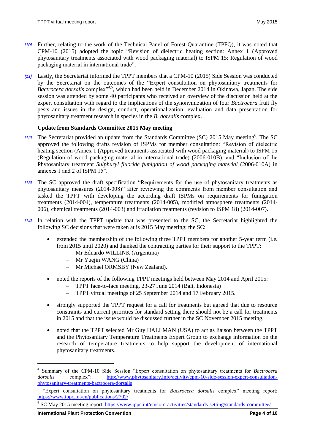- *[10]* Further, relating to the work of the Technical Panel of Forest Quarantine (TPFQ), it was noted that CPM-10 (2015) adopted the topic "Revision of dielectric heating section: Annex 1 (Approved phytosanitary treatments associated with wood packaging material) to ISPM 15: Regulation of wood packaging material in international trade".
- *[11]* Lastly, the Secretariat informed the TPPT members that a CPM-10 (2015) Side Session was conducted by the Secretariat on the outcomes of the "Expert consultation on phytosanitary treatments for Bactrocera dorsalis complex<sup>14,5</sup>, which had been held in December 2014 in Okinawa, Japan. The side session was attended by some 40 participants who received an overview of the discussion held at the expert consultation with regard to the implications of the synonymization of four *Bactrocera* fruit fly pests and issues in the design, conduct, operationalization, evaluation and data presentation for phytosanitary treatment research in species in the *B. dorsalis* complex.

## <span id="page-3-0"></span>**Update from Standards Committee 2015 May meeting**

- [12] The Secretariat provided an update from the Standards Committee (SC) 2015 May meeting<sup>6</sup>. The SC approved the following drafts revision of ISPMs for member consultation: "Revision of dielectric heating section (Annex 1 (Approved treatments associated with wood packaging material) to ISPM 15 (Regulation of wood packaging material in international trade) (2006-010B); and "Inclusion of the Phytosanitary treatment *Sulphuryl fluoride fumigation of wood packaging material* (2006-010A) in annexes 1 and 2 of ISPM 15".
- *[13]* The SC approved the draft specification "Requirements for the use of phytosanitary treatments as phytosanitary measures (2014-008)" after reviewing the comments from member consultation and tasked the TPPT with developing the according draft ISPMs on requirements for fumigation treatments (2014-004), temperature treatments (2014-005), modified atmosphere treatments (2014- 006), chemical treatments (2014-003) and irradiation treatments (revision to ISPM 18) (2014-007).
- *[14]* In relation with the TPPT update that was presented to the SC, the Secretariat highlighted the following SC decisions that were taken at is 2015 May meeting; the SC:
	- extended the membership of the following three TPPT members for another 5-year term (i.e. from 2015 until 2020) and thanked the contracting parties for their support to the TPPT:
		- Mr Eduardo WILLINK (Argentina)
		- Mr Yuejin WANG (China)
		- Mr Michael ORMSBY (New Zealand).
	- noted the reports of the following TPPT meetings held between May 2014 and April 2015:
		- TPPT face-to-face meeting, 23-27 June 2014 (Bali, Indonesia)
		- TPPT virtual meetings of 25 September 2014 and 17 February 2015.
	- strongly supported the TPPT request for a call for treatments but agreed that due to resource constraints and current priorities for standard setting there should not be a call for treatments in 2015 and that the issue would be discussed further in the SC November 2015 meeting.
	- noted that the TPPT selected Mr Guy HALLMAN (USA) to act as liaison between the TPPT and the Phytosanitary Temperature Treatments Expert Group to exchange information on the research of temperature treatments to help support the development of international phytosanitary treatments.

l

<sup>4</sup> Summary of the CPM-10 Side Session "Expert consultation on phytosanitary treatments for *Bactrocera dorsalis* complex": [http://www.phytosanitary.info/activity/cpm-10-side-session-expert-consultation](http://www.phytosanitary.info/activity/cpm-10-side-session-expert-consultation-phytosanitary-treatments-bactrocera-dorsalis)[phytosanitary-treatments-bactrocera-dorsalis](http://www.phytosanitary.info/activity/cpm-10-side-session-expert-consultation-phytosanitary-treatments-bactrocera-dorsalis)

<sup>&</sup>lt;sup>5</sup> "Expert consultation on phytosanitary treatments for *Bactrocera dorsalis* complex" meeting report: <https://www.ippc.int/en/publications/2702/>

<sup>&</sup>lt;sup>6</sup> SC May 2015 meeting report:<https://www.ippc.int/en/core-activities/standards-setting/standards-committee/>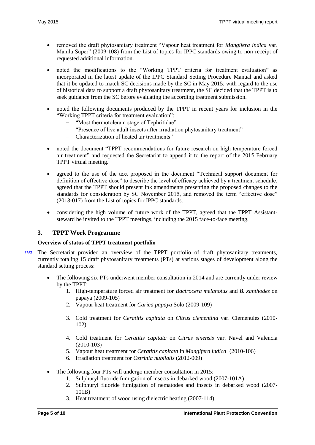- removed the draft phytosanitary treatment "Vapour heat treatment for *Mangifera indica* var. Manila Super" (2009-108) from the List of topics for IPPC standards owing to non-receipt of requested additional information.
- noted the modifications to the "Working TPPT criteria for treatment evaluation" as incorporated in the latest update of the IPPC Standard Setting Procedure Manual and asked that it be updated to match SC decisions made by the SC in May 2015; with regard to the use of historical data to support a draft phytosanitary treatment, the SC decided that the TPPT is to seek guidance from the SC before evaluating the according treatment submission.
- noted the following documents produced by the TPPT in recent years for inclusion in the "Working TPPT criteria for treatment evaluation":
	- "Most thermotolerant stage of Tephritidae"
	- "Presence of live adult insects after irradiation phytosanitary treatment"
	- Characterization of heated air treatments"
- noted the document "TPPT recommendations for future research on high temperature forced air treatment" and requested the Secretariat to append it to the report of the 2015 February TPPT virtual meeting.
- agreed to the use of the text proposed in the document "Technical support document for definition of effective dose" to describe the level of efficacy achieved by a treatment schedule, agreed that the TPPT should present ink amendments presenting the proposed changes to the standards for consideration by SC November 2015, and removed the term "effective dose" (2013-017) from the List of topics for IPPC standards.
- considering the high volume of future work of the TPPT, agreed that the TPPT Assistantsteward be invited to the TPPT meetings, including the 2015 face-to-face meeting.

## <span id="page-4-0"></span>**3. TPPT Work Programme**

## <span id="page-4-1"></span>**Overview of status of TPPT treatment portfolio**

- *[15]* The Secretariat provided an overview of the TPPT portfolio of draft phytosanitary treatments, currently totaling 15 draft phytosanitary treatments (PTs) at various stages of development along the standard setting process:
	- The following six PTs underwent member consultation in 2014 and are currently under review by the TPPT:
		- 1. High-temperature forced air treatment for *Bactrocera melanotus* and *B. xanthodes* on papaya (2009-105)
		- 2. Vapour heat treatment for *Carica papaya* Solo (2009-109)
		- 3. Cold treatment for *Ceratitis capitata* on *Citrus clementina* var. Clemenules (2010- 102)
		- 4. Cold treatment for *Ceratitis capitata* on *Citrus sinensis* var. Navel and Valencia (2010-103)
		- 5. Vapour heat treatment for *Ceratitis capitata* in *Mangifera indica* (2010-106)
		- 6. Irradiation treatment for *Ostrinia nubilalis* (2012-009)
	- The following four PTs will undergo member consultation in 2015:
		- 1. Sulphuryl fluoride fumigation of insects in debarked wood (2007-101A)
		- 2. Sulphuryl fluoride fumigation of nematodes and insects in debarked wood (2007- 101B)
		- 3. Heat treatment of wood using dielectric heating (2007-114)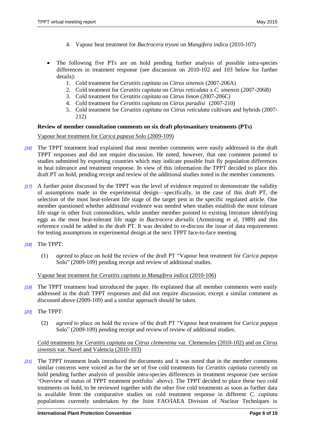- 4. Vapour heat treatment for *Bactrocera tryoni* on *Mangifera indica* (2010-107)
- The following five PTs are on hold pending further analysis of possible intra-species differences in treatment response (see discussion on 2010-102 and 103 below for further details):
	- 1. Cold treatment for *Ceratitis capitata* on *Citrus sinensis* (2007-206A)
	- 2. Cold treatment for *Ceratitis capitata* on *Citrus reticulata* x *C. sinensis* (2007-206B)
	- 3. Cold treatment for *Ceratitis capitata* on *Citrus limon* (2007-206C)
	- 4. Cold treatment for *Ceratitis capitata* on *Citrus paradisi* (2007-210)
	- 5. Cold treatment for *Ceratitis capitata* on *Citrus reticulata* cultivars and hybrids (2007- 212)

#### <span id="page-5-0"></span>**Review of member consultation comments on six draft phytosanitary treatments (PTs)**

Vapour heat treatment for *Carica papaya* Solo (2009-109)

- *[16]* The TPPT treatment lead explained that most member comments were easily addressed in the draft TPPT responses and did not require discussion. He noted, however, that one comment pointed to studies submitted by exporting countries which may indicate possible fruit fly population differences in heat tolerance and treatment response. In view of this information the TPPT decided to place this draft PT on hold, pending receipt and review of the additional studies noted in the member comments.
- *[17]* A further point discussed by the TPPT was the level of evidence required to demonstrate the validity of assumptions made in the experimental design—specifically, in the case of this draft PT, the selection of the most heat-tolerant life stage of the target pest in the specific regulated article. One member questioned whether additional evidence was needed when studies establish the most tolerant life stage in other fruit commodities, while another member pointed to existing literature identifying eggs as the most heat-tolerant life stage in *Bactrocera dorsalis* (Armstrong et al, 1989) and this reference could be added to the draft PT. It was decided to re-discuss the issue of data requirements for testing assumptions in experimental design at the next TPPT face-to-face meeting.
- *[18]* The TPPT:
	- (1) *agreed* to place on hold the review of the draft PT "Vapour heat treatment for *Carica papaya* Solo" (2009-109) pending receipt and review of additional studies.

#### Vapour heat treatment for *Ceratitis capitata* in *Mangifera indica* (2010-106)

- *[19]* The TPPT treatment lead introduced the paper. He explained that all member comments were easily addressed in the draft TPPT responses and did not require discussion, except a similar comment as discussed above (2009-109) and a similar approach should be taken.
- *[20]* The TPPT:
	- (2) *agreed* to place on hold the review of the draft PT "Vapour heat treatment for *Carica papaya* Solo" (2009-109) pending receipt and review of review of additional studies.

#### Cold treatments for *Ceratitis capitata* on *Citrus clementina* var. Clemenules (2010-102) and on *Citrus sinensis* var. Navel and Valencia (2010-103)

*[21]* The TPPT treatment leads introduced the documents and it was noted that in the member comments similar concerns were voiced as for the set of five cold treatments for *Ceratitis capitata* currently on hold pending further analysis of possible intra-species differences in treatment response (see section 'Overview of status of TPPT treatment portfolio' above). The TPPT decided to place these two cold treatments on hold, to be reviewed together with the other five cold treatments as soon as further data is available from the comparative studies on cold treatment response in different *C. capitata* populations currently undertaken by the Joint FAO/IAEA Division of Nuclear Techniques in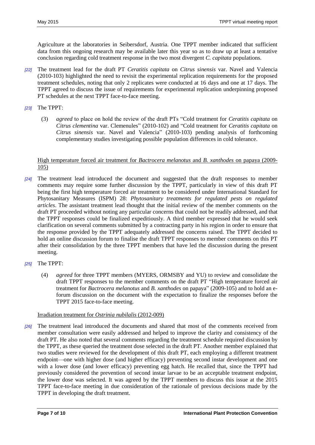Agriculture at the laboratories in Seibersdorf, Austria. One TPPT member indicated that sufficient data from this ongoing research may be available later this year so as to draw up at least a tentative conclusion regarding cold treatment response in the two most divergent *C. capitata* populations.

- *[22]* The treatment lead for the draft PT *Ceratitis capitata* on *Citrus sinensis* var. Navel and Valencia (2010-103) highlighted the need to revisit the experimental replication requirements for the proposed treatment schedules, noting that only 2 replicates were conducted at 16 days and one at 17 days. The TPPT agreed to discuss the issue of requirements for experimental replication underpinning proposed PT schedules at the next TPPT face-to-face meeting.
- *[23]* The TPPT:
	- (3) *agreed* to place on hold the review of the draft PTs "Cold treatment for *Ceratitis capitata* on *Citrus clementina* var. Clemenules" (2010-102) and "Cold treatment for *Ceratitis capitata* on *Citrus sinensis* var. Navel and Valencia" (2010-103) pending analysis of forthcoming complementary studies investigating possible population differences in cold tolerance.

#### High temperature forced air treatment for *Bactrocera melanotus* and *B. xanthodes* on papaya (2009- 105)

- *[24]* The treatment lead introduced the document and suggested that the draft responses to member comments may require some further discussion by the TPPT, particularly in view of this draft PT being the first high temperature forced air treatment to be considered under International Standard for Phytosanitary Measures (ISPM) 28: *Phytosanitary treatments for regulated pests on regulated articles*. The assistant treatment lead thought that the initial review of the member comments on the draft PT proceeded without noting any particular concerns that could not be readily addressed, and that the TPPT responses could be finalized expeditiously. A third member expressed that he would seek clarification on several comments submitted by a contracting party in his region in order to ensure that the response provided by the TPPT adequately addressed the concerns raised. The TPPT decided to hold an online discussion forum to finalise the draft TPPT responses to member comments on this PT after their consolidation by the three TPPT members that have led the discussion during the present meeting.
- *[25]* The TPPT:
	- (4) *agreed* for three TPPT members (MYERS, ORMSBY and YU) to review and consolidate the draft TPPT responses to the member comments on the draft PT "High temperature forced air treatment for *Bactrocera melanotus* and *B. xanthodes* on papaya" (2009-105) and to hold an eforum discussion on the document with the expectation to finalize the responses before the TPPT 2015 face-to-face meeting.

## Irradiation treatment for *Ostrinia nubilalis* (2012-009)

*[26]* The treatment lead introduced the documents and shared that most of the comments received from member consultation were easily addressed and helped to improve the clarity and consistency of the draft PT. He also noted that several comments regarding the treatment schedule required discussion by the TPPT, as these queried the treatment dose selected in the draft PT. Another member explained that two studies were reviewed for the development of this draft PT, each employing a different treatment endpoint—one with higher dose (and higher efficacy) preventing second instar development and one with a lower dose (and lower efficacy) preventing egg hatch. He recalled that, since the TPPT had previously considered the prevention of second instar larvae to be an acceptable treatment endpoint, the lower dose was selected. It was agreed by the TPPT members to discuss this issue at the 2015 TPPT face-to-face meeting in due consideration of the rationale of previous decisions made by the TPPT in developing the draft treatment.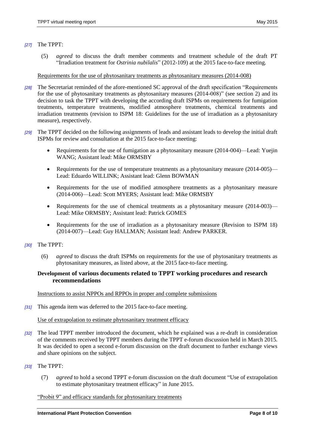#### *[27]* The TPPT:

(5) *agreed* to discuss the draft member comments and treatment schedule of the draft PT "Irradiation treatment for *Ostrinia nubilalis*" (2012-109) at the 2015 face-to-face meeting.

Requirements for the use of phytosanitary treatments as phytosanitary measures (2014-008)

- *[28]* The Secretariat reminded of the afore-mentioned SC approval of the draft specification "Requirements for the use of phytosanitary treatments as phytosanitary measures (2014-008)" (see section 2) and its decision to task the TPPT with developing the according draft ISPMs on requirements for fumigation treatments, temperature treatments, modified atmosphere treatments, chemical treatments and irradiation treatments (revision to ISPM 18: Guidelines for the use of irradiation as a phytosanitary measure), respectively.
- *[29]* The TPPT decided on the following assignments of leads and assistant leads to develop the initial draft ISPMs for review and consultation at the 2015 face-to-face meeting:
	- Requirements for the use of fumigation as a phytosanitary measure (2014-004)—Lead: Yuejin WANG; Assistant lead: Mike ORMSBY
	- Requirements for the use of temperature treatments as a phytosanitary measure (2014-005)— Lead: Eduardo WILLINK; Assistant lead: Glenn BOWMAN
	- Requirements for the use of modified atmosphere treatments as a phytosanitary measure (2014-006)—Lead: Scott MYERS; Assistant lead: Mike ORMSBY
	- Requirements for the use of chemical treatments as a phytosanitary measure (2014-003)— Lead: Mike ORMSBY; Assistant lead: Patrick GOMES
	- Requirements for the use of irradiation as a phytosanitary measure (Revision to ISPM 18) (2014-007)—Lead: Guy HALLMAN; Assistant lead: Andrew PARKER.
- *[30]* The TPPT:
	- (6) *agreed* to discuss the draft ISPMs on requirements for the use of phytosanitary treatments as phytosanitary measures, as listed above, at the 2015 face-to-face meeting.

#### <span id="page-7-0"></span>**Development of various documents related to TPPT working procedures and research recommendations**

Instructions to assist NPPOs and RPPOs in proper and complete submissions

*[31]* This agenda item was deferred to the 2015 face-to-face meeting.

#### Use of extrapolation to estimate phytosanitary treatment efficacy

- *[32]* The lead TPPT member introduced the document, which he explained was a re-draft in consideration of the comments received by TPPT members during the TPPT e-forum discussion held in March 2015. It was decided to open a second e-forum discussion on the draft document to further exchange views and share opinions on the subject.
- *[33]* The TPPT:
	- (7) *agreed* to hold a second TPPT e-forum discussion on the draft document "Use of extrapolation to estimate phytosanitary treatment efficacy" in June 2015.

## "Probit 9" and efficacy standards for phytosanitary treatments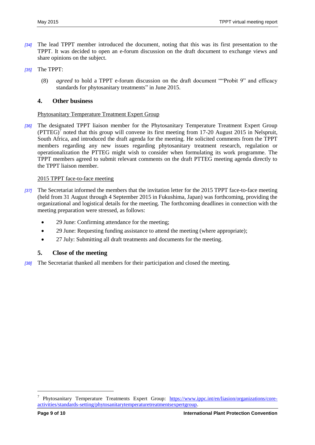- *[34]* The lead TPPT member introduced the document, noting that this was its first presentation to the TPPT. It was decided to open an e-forum discussion on the draft document to exchange views and share opinions on the subject.
- *[35]* The TPPT:
	- (8) *agreed* to hold a TPPT e-forum discussion on the draft document ""Probit 9" and efficacy standards for phytosanitary treatments" in June 2015.

## <span id="page-8-0"></span>**4. Other business**

## Phytosanitary Temperature Treatment Expert Group

*[36]* The designated TPPT liaison member for the Phytosanitary Temperature Treatment Expert Group  $(PTTEG)^7$  noted that this group will convene its first meeting from 17-20 August 2015 in Nelspruit, South Africa, and introduced the draft agenda for the meeting. He solicited comments from the TPPT members regarding any new issues regarding phytosanitary treatment research, regulation or operationalization the PTTEG might wish to consider when formulating its work programme. The TPPT members agreed to submit relevant comments on the draft PTTEG meeting agenda directly to the TPPT liaison member.

## 2015 TPPT face-to-face meeting

- *[37]* The Secretariat informed the members that the invitation letter for the 2015 TPPT face-to-face meeting (held from 31 August through 4 September 2015 in Fukushima, Japan) was forthcoming, providing the organizational and logistical details for the meeting. The forthcoming deadlines in connection with the meeting preparation were stressed, as follows:
	- 29 June: Confirming attendance for the meeting;
	- 29 June: Requesting funding assistance to attend the meeting (where appropriate);
	- 27 July: Submitting all draft treatments and documents for the meeting.

# <span id="page-8-1"></span>**5. Close of the meeting**

*[38]* The Secretariat thanked all members for their participation and closed the meeting.

 $\overline{a}$ 

<sup>7</sup> Phytosanitary Temperature Treatments Expert Group: [https://www.ippc.int/en/liasion/organizations/core](https://www.ippc.int/en/liasion/organizations/core-activities/standards-setting/phytosanitarytemperaturetreatmentsexpertgroup)[activities/standards-setting/phytosanitarytemperaturetreatmentsexpertgroup.](https://www.ippc.int/en/liasion/organizations/core-activities/standards-setting/phytosanitarytemperaturetreatmentsexpertgroup)